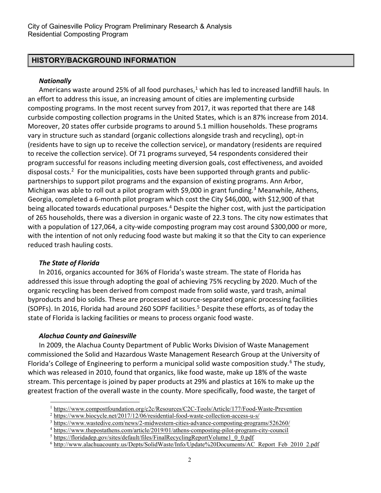## HISTORY/BACKGROUND INFORMATION

#### **Nationally**

Americans waste around 25% of all food purchases,<sup>1</sup> which has led to increased landfill hauls. In an effort to address this issue, an increasing amount of cities are implementing curbside composting programs. In the most recent survey from 2017, it was reported that there are 148 curbside composting collection programs in the United States, which is an 87% increase from 2014. Moreover, 20 states offer curbside programs to around 5.1 million households. These programs vary in structure such as standard (organic collections alongside trash and recycling), opt-in (residents have to sign up to receive the collection service), or mandatory (residents are required to receive the collection service). Of 71 programs surveyed, 54 respondents considered their program successful for reasons including meeting diversion goals, cost effectiveness, and avoided disposal costs.<sup>2</sup> For the municipalities, costs have been supported through grants and publicpartnerships to support pilot programs and the expansion of existing programs. Ann Arbor, Michigan was able to roll out a pilot program with \$9,000 in grant funding.<sup>3</sup> Meanwhile, Athens, Georgia, completed a 6-month pilot program which cost the City \$46,000, with \$12,900 of that being allocated towards educational purposes.<sup>4</sup> Despite the higher cost, with just the participation of 265 households, there was a diversion in organic waste of 22.3 tons. The city now estimates that with a population of 127,064, a city-wide composting program may cost around \$300,000 or more, with the intention of not only reducing food waste but making it so that the City to can experience reduced trash hauling costs.

#### The State of Florida

l

In 2016, organics accounted for 36% of Florida's waste stream. The state of Florida has addressed this issue through adopting the goal of achieving 75% recycling by 2020. Much of the organic recycling has been derived from compost made from solid waste, yard trash, animal byproducts and bio solids. These are processed at source-separated organic processing facilities (SOPFs). In 2016, Florida had around 260 SOPF facilities.<sup>5</sup> Despite these efforts, as of today the state of Florida is lacking facilities or means to process organic food waste.

## Alachua County and Gainesville

In 2009, the Alachua County Department of Public Works Division of Waste Management commissioned the Solid and Hazardous Waste Management Research Group at the University of Florida's College of Engineering to perform a municipal solid waste composition study.<sup>6</sup> The study, which was released in 2010, found that organics, like food waste, make up 18% of the waste stream. This percentage is joined by paper products at 29% and plastics at 16% to make up the greatest fraction of the overall waste in the county. More specifically, food waste, the target of

<sup>&</sup>lt;sup>1</sup> https://www.compostfoundation.org/c2c/Resources/C2C-Tools/Article/177/Food-Waste-Prevention

<sup>&</sup>lt;sup>2</sup> https://www.biocycle.net/2017/12/06/residential-food-waste-collection-access-u-s/

<sup>&</sup>lt;sup>3</sup> https://www.wastedive.com/news/2-midwestern-cities-advance-composting-programs/526260/

<sup>&</sup>lt;sup>4</sup> https://www.thepostathens.com/article/2019/01/athens-composting-pilot-program-city-council

<sup>&</sup>lt;sup>5</sup> https://floridadep.gov/sites/default/files/FinalRecyclingReportVolume1\_0\_0.pdf

<sup>&</sup>lt;sup>6</sup> http://www.alachuacounty.us/Depts/SolidWaste/Info/Update%20Documents/AC\_Report\_Feb\_2010\_2.pdf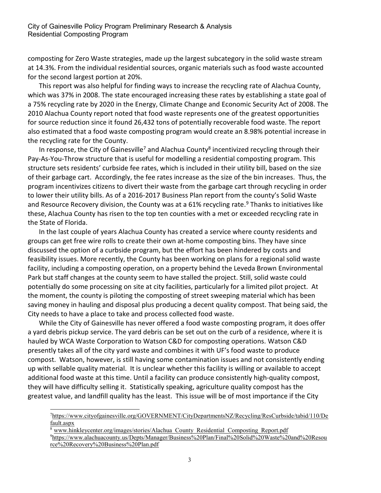composting for Zero Waste strategies, made up the largest subcategory in the solid waste stream at 14.3%. From the individual residential sources, organic materials such as food waste accounted for the second largest portion at 20%.

This report was also helpful for finding ways to increase the recycling rate of Alachua County, which was 37% in 2008. The state encouraged increasing these rates by establishing a state goal of a 75% recycling rate by 2020 in the Energy, Climate Change and Economic Security Act of 2008. The 2010 Alachua County report noted that food waste represents one of the greatest opportunities for source reduction since it found 26,432 tons of potentially recoverable food waste. The report also estimated that a food waste composting program would create an 8.98% potential increase in the recycling rate for the County.

In response, the City of Gainesville<sup>7</sup> and Alachua County<sup>8</sup> incentivized recycling through their Pay-As-You-Throw structure that is useful for modelling a residential composting program. This structure sets residents' curbside fee rates, which is included in their utility bill, based on the size of their garbage cart. Accordingly, the fee rates increase as the size of the bin increases. Thus, the program incentivizes citizens to divert their waste from the garbage cart through recycling in order to lower their utility bills. As of a 2016-2017 Business Plan report from the county's Solid Waste and Resource Recovery division, the County was at a 61% recycling rate.<sup>9</sup> Thanks to initiatives like these, Alachua County has risen to the top ten counties with a met or exceeded recycling rate in the State of Florida.

In the last couple of years Alachua County has created a service where county residents and groups can get free wire rolls to create their own at-home composting bins. They have since discussed the option of a curbside program, but the effort has been hindered by costs and feasibility issues. More recently, the County has been working on plans for a regional solid waste facility, including a composting operation, on a property behind the Leveda Brown Environmental Park but staff changes at the county seem to have stalled the project. Still, solid waste could potentially do some processing on site at city facilities, particularly for a limited pilot project. At the moment, the county is piloting the composting of street sweeping material which has been saving money in hauling and disposal plus producing a decent quality compost. That being said, the City needs to have a place to take and process collected food waste.

While the City of Gainesville has never offered a food waste composting program, it does offer a yard debris pickup service. The yard debris can be set out on the curb of a residence, where it is hauled by WCA Waste Corporation to Watson C&D for composting operations. Watson C&D presently takes all of the city yard waste and combines it with UF's food waste to produce compost. Watson, however, is still having some contamination issues and not consistently ending up with sellable quality material. It is unclear whether this facility is willing or available to accept additional food waste at this time. Until a facility can produce consistently high-quality compost, they will have difficulty selling it. Statistically speaking, agriculture quality compost has the greatest value, and landfill quality has the least. This issue will be of most importance if the City

l

<sup>7</sup>https://www.cityofgainesville.org/GOVERNMENT/CityDepartmentsNZ/Recycling/ResCurbside/tabid/110/De fault.aspx

<sup>&</sup>lt;sup>8</sup> www.hinkleycenter.org/images/stories/Alachua County Residential Composting Report.pdf <sup>9</sup>https://www.alachuacounty.us/Depts/Manager/Business%20Plan/Final%20Solid%20Waste%20and%20Resou rce%20Recovery%20Business%20Plan.pdf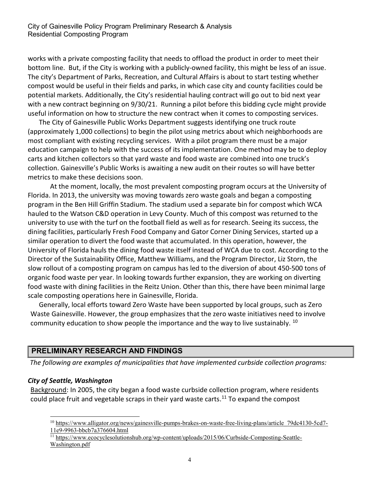works with a private composting facility that needs to offload the product in order to meet their bottom line. But, if the City is working with a publicly-owned facility, this might be less of an issue. The city's Department of Parks, Recreation, and Cultural Affairs is about to start testing whether compost would be useful in their fields and parks, in which case city and county facilities could be potential markets. Additionally, the City's residential hauling contract will go out to bid next year with a new contract beginning on 9/30/21. Running a pilot before this bidding cycle might provide useful information on how to structure the new contract when it comes to composting services.

The City of Gainesville Public Works Department suggests identifying one truck route (approximately 1,000 collections) to begin the pilot using metrics about which neighborhoods are most compliant with existing recycling services. With a pilot program there must be a major education campaign to help with the success of its implementation. One method may be to deploy carts and kitchen collectors so that yard waste and food waste are combined into one truck's collection. Gainesville's Public Works is awaiting a new audit on their routes so will have better metrics to make these decisions soon.

At the moment, locally, the most prevalent composting program occurs at the University of Florida. In 2013, the university was moving towards zero waste goals and began a composting program in the Ben Hill Griffin Stadium. The stadium used a separate bin for compost which WCA hauled to the Watson C&D operation in Levy County. Much of this compost was returned to the university to use with the turf on the football field as well as for research. Seeing its success, the dining facilities, particularly Fresh Food Company and Gator Corner Dining Services, started up a similar operation to divert the food waste that accumulated. In this operation, however, the University of Florida hauls the dining food waste itself instead of WCA due to cost. According to the Director of the Sustainability Office, Matthew Williams, and the Program Director, Liz Storn, the slow rollout of a composting program on campus has led to the diversion of about 450-500 tons of organic food waste per year. In looking towards further expansion, they are working on diverting food waste with dining facilities in the Reitz Union. Other than this, there have been minimal large scale composting operations here in Gainesville, Florida.

Generally, local efforts toward Zero Waste have been supported by local groups, such as Zero Waste Gainesville. However, the group emphasizes that the zero waste initiatives need to involve community education to show people the importance and the way to live sustainably. <sup>10</sup>

## PRELIMINARY RESEARCH AND FINDINGS

The following are examples of municipalities that have implemented curbside collection programs:

#### City of Seattle, Washington

 $\overline{a}$ 

Background: In 2005, the city began a food waste curbside collection program, where residents could place fruit and vegetable scraps in their yard waste carts.<sup>11</sup> To expand the compost

<sup>&</sup>lt;sup>10</sup> https://www.alligator.org/news/gainesville-pumps-brakes-on-waste-free-living-plans/article\_79dc4130-5cd7-11e9-9963-bbcb7a376604.html

<sup>11</sup> https://www.ecocyclesolutionshub.org/wp-content/uploads/2015/06/Curbside-Composting-Seattle-Washington.pdf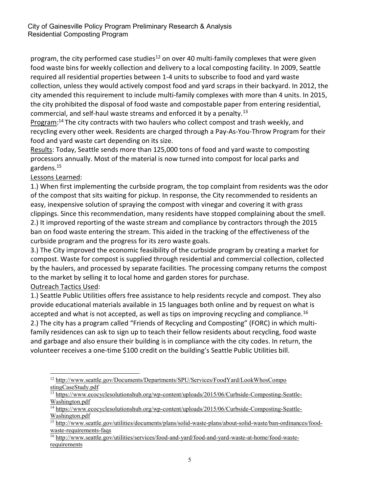program, the city performed case studies<sup>12</sup> on over 40 multi-family complexes that were given food waste bins for weekly collection and delivery to a local composting facility. In 2009, Seattle required all residential properties between 1-4 units to subscribe to food and yard waste collection, unless they would actively compost food and yard scraps in their backyard. In 2012, the city amended this requirement to include multi-family complexes with more than 4 units. In 2015, the city prohibited the disposal of food waste and compostable paper from entering residential, commercial, and self-haul waste streams and enforced it by a penalty.<sup>13</sup>

Program:<sup>14</sup> The city contracts with two haulers who collect compost and trash weekly, and recycling every other week. Residents are charged through a Pay-As-You-Throw Program for their food and yard waste cart depending on its size.

Results: Today, Seattle sends more than 125,000 tons of food and yard waste to composting processors annually. Most of the material is now turned into compost for local parks and gardens.<sup>15</sup>

#### Lessons Learned:

1.) When first implementing the curbside program, the top complaint from residents was the odor of the compost that sits waiting for pickup. In response, the City recommended to residents an easy, inexpensive solution of spraying the compost with vinegar and covering it with grass clippings. Since this recommendation, many residents have stopped complaining about the smell. 2.) It improved reporting of the waste stream and compliance by contractors through the 2015 ban on food waste entering the stream. This aided in the tracking of the effectiveness of the curbside program and the progress for its zero waste goals.

3.) The City improved the economic feasibility of the curbside program by creating a market for compost. Waste for compost is supplied through residential and commercial collection, collected by the haulers, and processed by separate facilities. The processing company returns the compost to the market by selling it to local home and garden stores for purchase.

## Outreach Tactics Used:

1.) Seattle Public Utilities offers free assistance to help residents recycle and compost. They also provide educational materials available in 15 languages both online and by request on what is accepted and what is not accepted, as well as tips on improving recycling and compliance.<sup>16</sup> 2.) The city has a program called "Friends of Recycling and Composting" (FORC) in which multifamily residences can ask to sign up to teach their fellow residents about recycling, food waste

and garbage and also ensure their building is in compliance with the city codes. In return, the volunteer receives a one-time \$100 credit on the building's Seattle Public Utilities bill.

 $\overline{a}$ <sup>12</sup> http://www.seattle.gov/Documents/Departments/SPU/Services/FoodYard/LookWhosCompo stingCaseStudy.pdf

<sup>&</sup>lt;sup>13</sup> https://www.ecocyclesolutionshub.org/wp-content/uploads/2015/06/Curbside-Composting-Seattle-Washington.pdf

<sup>&</sup>lt;sup>14</sup> https://www.ecocyclesolutionshub.org/wp-content/uploads/2015/06/Curbside-Composting-Seattle-Washington.pdf

<sup>&</sup>lt;sup>15</sup> http://www.seattle.gov/utilities/documents/plans/solid-waste-plans/about-solid-waste/ban-ordinances/foodwaste-requirements-faqs

<sup>16</sup> http://www.seattle.gov/utilities/services/food-and-yard/food-and-yard-waste-at-home/food-waste**requirements**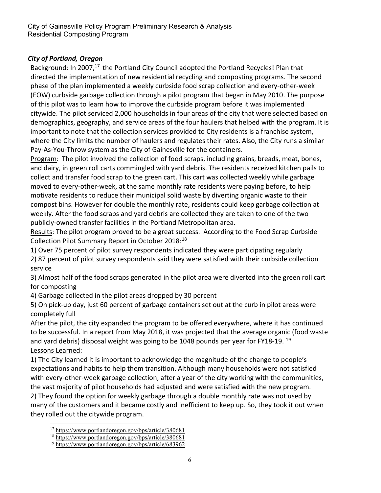### City of Portland, Oregon

Background: In 2007,<sup>17</sup> the Portland City Council adopted the Portland Recycles! Plan that directed the implementation of new residential recycling and composting programs. The second phase of the plan implemented a weekly curbside food scrap collection and every-other-week (EOW) curbside garbage collection through a pilot program that began in May 2010. The purpose of this pilot was to learn how to improve the curbside program before it was implemented citywide. The pilot serviced 2,000 households in four areas of the city that were selected based on demographics, geography, and service areas of the four haulers that helped with the program. It is important to note that the collection services provided to City residents is a franchise system, where the City limits the number of haulers and regulates their rates. Also, the City runs a similar Pay-As-You-Throw system as the City of Gainesville for the containers.

Program: The pilot involved the collection of food scraps, including grains, breads, meat, bones, and dairy, in green roll carts commingled with yard debris. The residents received kitchen pails to collect and transfer food scrap to the green cart. This cart was collected weekly while garbage moved to every-other-week, at the same monthly rate residents were paying before, to help motivate residents to reduce their municipal solid waste by diverting organic waste to their compost bins. However for double the monthly rate, residents could keep garbage collection at weekly. After the food scraps and yard debris are collected they are taken to one of the two publicly-owned transfer facilities in the Portland Metropolitan area.

Results: The pilot program proved to be a great success. According to the Food Scrap Curbside Collection Pilot Summary Report in October 2018:<sup>18</sup>

1) Over 75 percent of pilot survey respondents indicated they were participating regularly 2) 87 percent of pilot survey respondents said they were satisfied with their curbside collection service

3) Almost half of the food scraps generated in the pilot area were diverted into the green roll cart for composting

4) Garbage collected in the pilot areas dropped by 30 percent

5) On pick-up day, just 60 percent of garbage containers set out at the curb in pilot areas were completely full

After the pilot, the city expanded the program to be offered everywhere, where it has continued to be successful. In a report from May 2018, it was projected that the average organic (food waste and yard debris) disposal weight was going to be 1048 pounds per year for FY18-19. <sup>19</sup> Lessons Learned:

1) The City learned it is important to acknowledge the magnitude of the change to people's expectations and habits to help them transition. Although many households were not satisfied with every-other-week garbage collection, after a year of the city working with the communities, the vast majority of pilot households had adjusted and were satisfied with the new program. 2) They found the option for weekly garbage through a double monthly rate was not used by many of the customers and it became costly and inefficient to keep up. So, they took it out when they rolled out the citywide program.

 $\overline{a}$ <sup>17</sup> https://www.portlandoregon.gov/bps/article/380681

<sup>18</sup> https://www.portlandoregon.gov/bps/article/380681

<sup>19</sup> https://www.portlandoregon.gov/bps/article/683962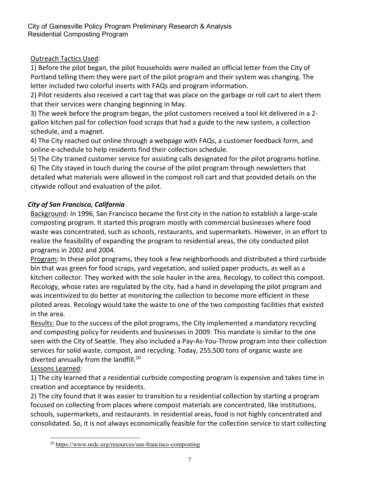## Outreach Tactics Used:

1) Before the pilot began, the pilot households were mailed an official letter from the City of Portland telling them they were part of the pilot program and their system was changing. The letter included two colorful inserts with FAQs and program information.

2) Pilot residents also received a cart tag that was place on the garbage or roll cart to alert them that their services were changing beginning in May.

3) The week before the program began, the pilot customers received a tool kit delivered in a 2 gallon kitchen pail for collection food scraps that had a guide to the new system, a collection schedule, and a magnet.

4) The City reached out online through a webpage with FAQs, a customer feedback form, and online e-schedule to help residents find their collection schedule.

5) The City trained customer service for assisting calls designated for the pilot programs hotline.

6) The City stayed in touch during the course of the pilot program through newsletters that detailed what materials were allowed in the compost roll cart and that provided details on the citywide rollout and evaluation of the pilot.

## City of San Francisco, California

Background: In 1996, San Francisco became the first city in the nation to establish a large-scale composting program. It started this program mostly with commercial businesses where food waste was concentrated, such as schools, restaurants, and supermarkets. However, in an effort to realize the feasibility of expanding the program to residential areas, the city conducted pilot programs in 2002 and 2004.

Program: In these pilot programs, they took a few neighborhoods and distributed a third curbside bin that was green for food scraps, yard vegetation, and soiled paper products, as well as a kitchen collector. They worked with the sole hauler in the area, Recology, to collect this compost. Recology, whose rates are regulated by the city, had a hand in developing the pilot program and was incentivized to do better at monitoring the collection to become more efficient in these piloted areas. Recology would take the waste to one of the two composting facilities that existed in the area.

Results: Due to the success of the pilot programs, the City implemented a mandatory recycling and composting policy for residents and businesses in 2009. This mandate is similar to the one seen with the City of Seattle. They also included a Pay-As-You-Throw program into their collection services for solid waste, compost, and recycling. Today, 255,500 tons of organic waste are diverted annually from the landfill.<sup>20</sup>

## Lessons Learned:

1) The city learned that a residential curbside composting program is expensive and takes time in creation and acceptance by residents.

2) The city found that it was easier to transition to a residential collection by starting a program focused on collecting from places where compost materials are concentrated, like institutions, schools, supermarkets, and restaurants. In residential areas, food is not highly concentrated and consolidated. So, it is not always economically feasible for the collection service to start collecting

 $\overline{a}$ 20 https://www.nrdc.org/resources/san-francisco-composting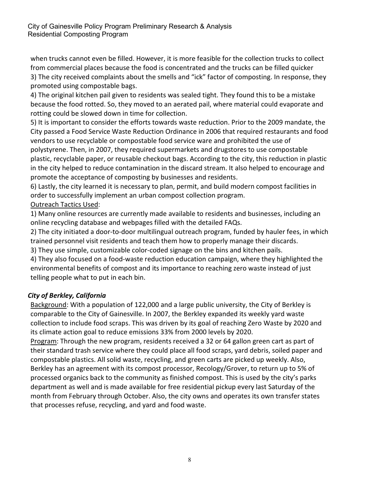when trucks cannot even be filled. However, it is more feasible for the collection trucks to collect from commercial places because the food is concentrated and the trucks can be filled quicker 3) The city received complaints about the smells and "ick" factor of composting. In response, they promoted using compostable bags.

4) The original kitchen pail given to residents was sealed tight. They found this to be a mistake because the food rotted. So, they moved to an aerated pail, where material could evaporate and rotting could be slowed down in time for collection.

5) It is important to consider the efforts towards waste reduction. Prior to the 2009 mandate, the City passed a Food Service Waste Reduction Ordinance in 2006 that required restaurants and food vendors to use recyclable or compostable food service ware and prohibited the use of polystyrene. Then, in 2007, they required supermarkets and drugstores to use compostable plastic, recyclable paper, or reusable checkout bags. According to the city, this reduction in plastic in the city helped to reduce contamination in the discard stream. It also helped to encourage and promote the acceptance of composting by businesses and residents.

6) Lastly, the city learned it is necessary to plan, permit, and build modern compost facilities in order to successfully implement an urban compost collection program.

## Outreach Tactics Used:

1) Many online resources are currently made available to residents and businesses, including an online recycling database and webpages filled with the detailed FAQs.

2) The city initiated a door-to-door multilingual outreach program, funded by hauler fees, in which trained personnel visit residents and teach them how to properly manage their discards.

3) They use simple, customizable color-coded signage on the bins and kitchen pails.

4) They also focused on a food-waste reduction education campaign, where they highlighted the environmental benefits of compost and its importance to reaching zero waste instead of just telling people what to put in each bin.

## City of Berkley, California

Background: With a population of 122,000 and a large public university, the City of Berkley is comparable to the City of Gainesville. In 2007, the Berkley expanded its weekly yard waste collection to include food scraps. This was driven by its goal of reaching Zero Waste by 2020 and its climate action goal to reduce emissions 33% from 2000 levels by 2020.

Program: Through the new program, residents received a 32 or 64 gallon green cart as part of their standard trash service where they could place all food scraps, yard debris, soiled paper and compostable plastics. All solid waste, recycling, and green carts are picked up weekly. Also, Berkley has an agreement with its compost processor, Recology/Grover, to return up to 5% of processed organics back to the community as finished compost. This is used by the city's parks department as well and is made available for free residential pickup every last Saturday of the month from February through October. Also, the city owns and operates its own transfer states that processes refuse, recycling, and yard and food waste.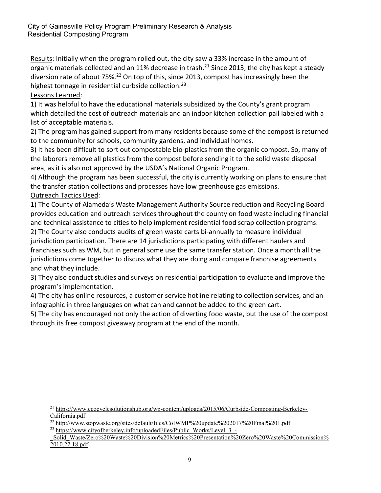Results: Initially when the program rolled out, the city saw a 33% increase in the amount of organic materials collected and an 11% decrease in trash.<sup>21</sup> Since 2013, the city has kept a steady diversion rate of about 75%.<sup>22</sup> On top of this, since 2013, compost has increasingly been the highest tonnage in residential curbside collection.<sup>23</sup>

#### Lessons Learned:

l

1) It was helpful to have the educational materials subsidized by the County's grant program which detailed the cost of outreach materials and an indoor kitchen collection pail labeled with a list of acceptable materials.

2) The program has gained support from many residents because some of the compost is returned to the community for schools, community gardens, and individual homes.

3) It has been difficult to sort out compostable bio-plastics from the organic compost. So, many of the laborers remove all plastics from the compost before sending it to the solid waste disposal area, as it is also not approved by the USDA's National Organic Program.

4) Although the program has been successful, the city is currently working on plans to ensure that the transfer station collections and processes have low greenhouse gas emissions. Outreach Tactics Used:

1) The County of Alameda's Waste Management Authority Source reduction and Recycling Board provides education and outreach services throughout the county on food waste including financial

and technical assistance to cities to help implement residential food scrap collection programs. 2) The County also conducts audits of green waste carts bi-annually to measure individual jurisdiction participation. There are 14 jurisdictions participating with different haulers and franchises such as WM, but in general some use the same transfer station. Once a month all the jurisdictions come together to discuss what they are doing and compare franchise agreements and what they include.

3) They also conduct studies and surveys on residential participation to evaluate and improve the program's implementation.

4) The city has online resources, a customer service hotline relating to collection services, and an infographic in three languages on what can and cannot be added to the green cart.

5) The city has encouraged not only the action of diverting food waste, but the use of the compost through its free compost giveaway program at the end of the month.

<sup>21</sup> https://www.ecocyclesolutionshub.org/wp-content/uploads/2015/06/Curbside-Composting-Berkeley-California.pdf

<sup>22</sup> http://www.stopwaste.org/sites/default/files/CoIWMP%20update%202017%20Final%201.pdf

<sup>&</sup>lt;sup>23</sup> https://www.cityofberkeley.info/uploadedFiles/Public\_Works/Level\_3\_-

Solid\_Waste/Zero%20Waste%20Division%20Metrics%20Presentation%20Zero%20Waste%20Commission% 2010.22.18.pdf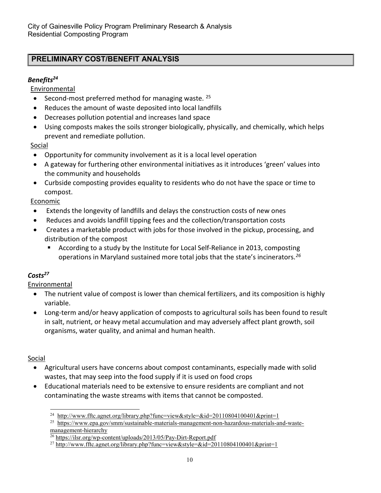# PRELIMINARY COST/BENEFIT ANALYSIS

## Benefits<sup>24</sup>

Environmental

- Second-most preferred method for managing waste. <sup>25</sup>
- Reduces the amount of waste deposited into local landfills
- Decreases pollution potential and increases land space
- Using composts makes the soils stronger biologically, physically, and chemically, which helps prevent and remediate pollution.

## Social

- Opportunity for community involvement as it is a local level operation
- A gateway for furthering other environmental initiatives as it introduces 'green' values into the community and households
- Curbside composting provides equality to residents who do not have the space or time to compost.

## **Economic**

- Extends the longevity of landfills and delays the construction costs of new ones
- Reduces and avoids landfill tipping fees and the collection/transportation costs
- Creates a marketable product with jobs for those involved in the pickup, processing, and distribution of the compost
	- According to a study by the Institute for Local Self-Reliance in 2013, composting operations in Maryland sustained more total jobs that the state's incinerators.<sup>26</sup>

## $\mathsf{Costs}^{27}$

Environmental

- The nutrient value of compost is lower than chemical fertilizers, and its composition is highly variable.
- Long-term and/or heavy application of composts to agricultural soils has been found to result in salt, nutrient, or heavy metal accumulation and may adversely affect plant growth, soil organisms, water quality, and animal and human health.

## Social

- Agricultural users have concerns about compost contaminants, especially made with solid wastes, that may seep into the food supply if it is used on food crops
- Educational materials need to be extensive to ensure residents are compliant and not contaminating the waste streams with items that cannot be composted.

l <sup>24</sup> http://www.fftc.agnet.org/library.php?func=view&style=&id=20110804100401&print=1

<sup>&</sup>lt;sup>25</sup> https://www.epa.gov/smm/sustainable-materials-management-non-hazardous-materials-and-wastemanagement-hierarchy

 $\frac{26 \text{ https://ilsr.org/wp-content/uploads/2013/05/Pay-Dirt-Report.pdf}}{26 \text{ https://ilsr.org/wp-content/uploads/2013/05/Pay-Dirt-Report.pdf}}$ 

<sup>&</sup>lt;sup>27</sup> http://www.fftc.agnet.org/library.php?func=view&style=&id=20110804100401&print=1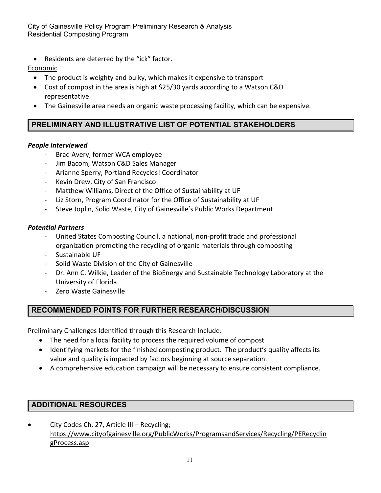• Residents are deterred by the "ick" factor.

## Economic

- The product is weighty and bulky, which makes it expensive to transport
- Cost of compost in the area is high at \$25/30 yards according to a Watson C&D representative
- The Gainesville area needs an organic waste processing facility, which can be expensive.

# PRELIMINARY AND ILLUSTRATIVE LIST OF POTENTIAL STAKEHOLDERS

#### People Interviewed

- Brad Avery, former WCA employee
- Jim Bacom, Watson C&D Sales Manager
- Arianne Sperry, Portland Recycles! Coordinator
- Kevin Drew, City of San Francisco
- Matthew Williams, Direct of the Office of Sustainability at UF
- Liz Storn, Program Coordinator for the Office of Sustainability at UF
- Steve Joplin, Solid Waste, City of Gainesville's Public Works Department

#### Potential Partners

- United States Composting Council, a national, non-profit trade and professional organization promoting the recycling of organic materials through composting
- Sustainable UF
- Solid Waste Division of the City of Gainesville
- Dr. Ann C. Wilkie, Leader of the BioEnergy and Sustainable Technology Laboratory at the University of Florida
- Zero Waste Gainesville

## RECOMMENDED POINTS FOR FURTHER RESEARCH/DISCUSSION

Preliminary Challenges Identified through this Research Include:

- The need for a local facility to process the required volume of compost
- Identifying markets for the finished composting product. The product's quality affects its value and quality is impacted by factors beginning at source separation.
- A comprehensive education campaign will be necessary to ensure consistent compliance.

## ADDITIONAL RESOURCES

 City Codes Ch. 27, Article III – Recycling; https://www.cityofgainesville.org/PublicWorks/ProgramsandServices/Recycling/PERecyclin gProcess.asp